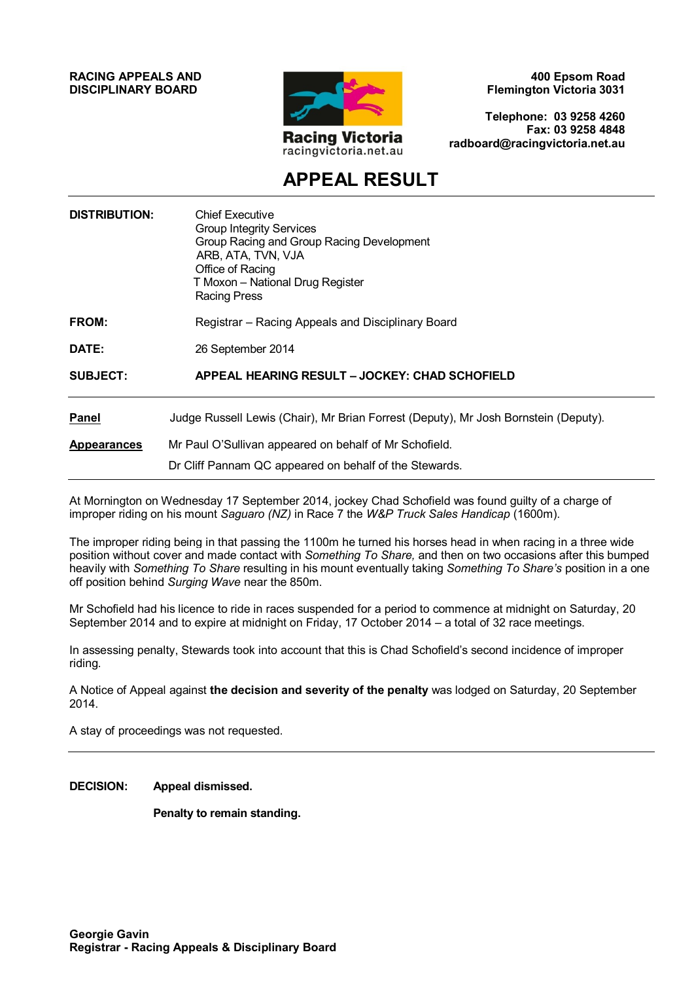#### **RACING APPEALS AND DISCIPLINARY BOARD**



**400 Epsom Road Flemington Victoria 3031**

**Telephone: 03 9258 4260 Fax: 03 9258 4848 radboard@racingvictoria.net.au**

# **APPEAL RESULT**

| <b>DISTRIBUTION:</b> | <b>Chief Executive</b><br><b>Group Integrity Services</b><br>Group Racing and Group Racing Development<br>ARB, ATA, TVN, VJA<br>Office of Racing<br>T Moxon - National Drug Register<br><b>Racing Press</b> |
|----------------------|-------------------------------------------------------------------------------------------------------------------------------------------------------------------------------------------------------------|
| FROM:                | Registrar – Racing Appeals and Disciplinary Board                                                                                                                                                           |
| DATE:                | 26 September 2014                                                                                                                                                                                           |
| <b>SUBJECT:</b>      | <b>APPEAL HEARING RESULT - JOCKEY: CHAD SCHOFIELD</b>                                                                                                                                                       |
| <b>Panel</b>         | Judge Russell Lewis (Chair), Mr Brian Forrest (Deputy), Mr Josh Bornstein (Deputy).                                                                                                                         |
| <b>Appearances</b>   | Mr Paul O'Sullivan appeared on behalf of Mr Schofield.<br>Dr Cliff Pannam QC appeared on behalf of the Stewards.                                                                                            |

At Mornington on Wednesday 17 September 2014, jockey Chad Schofield was found guilty of a charge of improper riding on his mount *Saguaro (NZ)* in Race 7 the *W&P Truck Sales Handicap* (1600m).

The improper riding being in that passing the 1100m he turned his horses head in when racing in a three wide position without cover and made contact with *Something To Share,* and then on two occasions after this bumped heavily with *Something To Share* resulting in his mount eventually taking *Something To Share's* position in a one off position behind *Surging Wave* near the 850m.

Mr Schofield had his licence to ride in races suspended for a period to commence at midnight on Saturday, 20 September 2014 and to expire at midnight on Friday, 17 October 2014 – a total of 32 race meetings.

In assessing penalty, Stewards took into account that this is Chad Schofield's second incidence of improper riding.

A Notice of Appeal against **the decision and severity of the penalty** was lodged on Saturday, 20 September 2014.

A stay of proceedings was not requested.

**DECISION: Appeal dismissed.** 

**Penalty to remain standing.**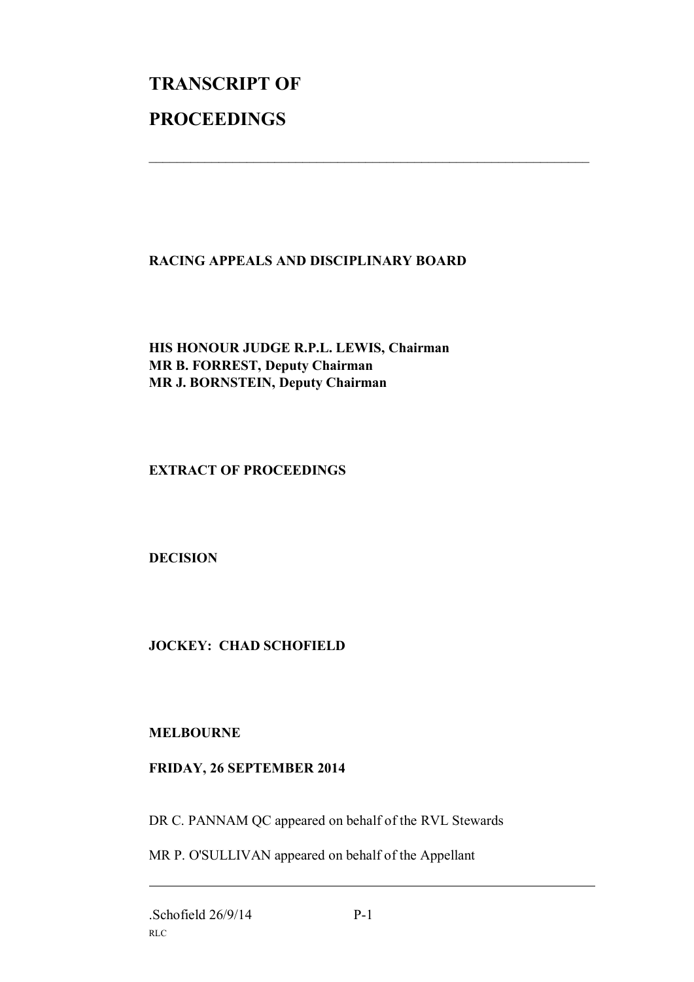# **TRANSCRIPT OF PROCEEDINGS**

### **RACING APPEALS AND DISCIPLINARY BOARD**

 $\mathcal{L}_\text{max}$  , and the contribution of the contribution of the contribution of the contribution of the contribution of the contribution of the contribution of the contribution of the contribution of the contribution of t

#### **HIS HONOUR JUDGE R.P.L. LEWIS, Chairman MR B. FORREST, Deputy Chairman MR J. BORNSTEIN, Deputy Chairman**

#### **EXTRACT OF PROCEEDINGS**

#### **DECISION**

## **JOCKEY: CHAD SCHOFIELD**

#### **MELBOURNE**

#### **FRIDAY, 26 SEPTEMBER 2014**

DR C. PANNAM QC appeared on behalf of the RVL Stewards

MR P. O'SULLIVAN appeared on behalf of the Appellant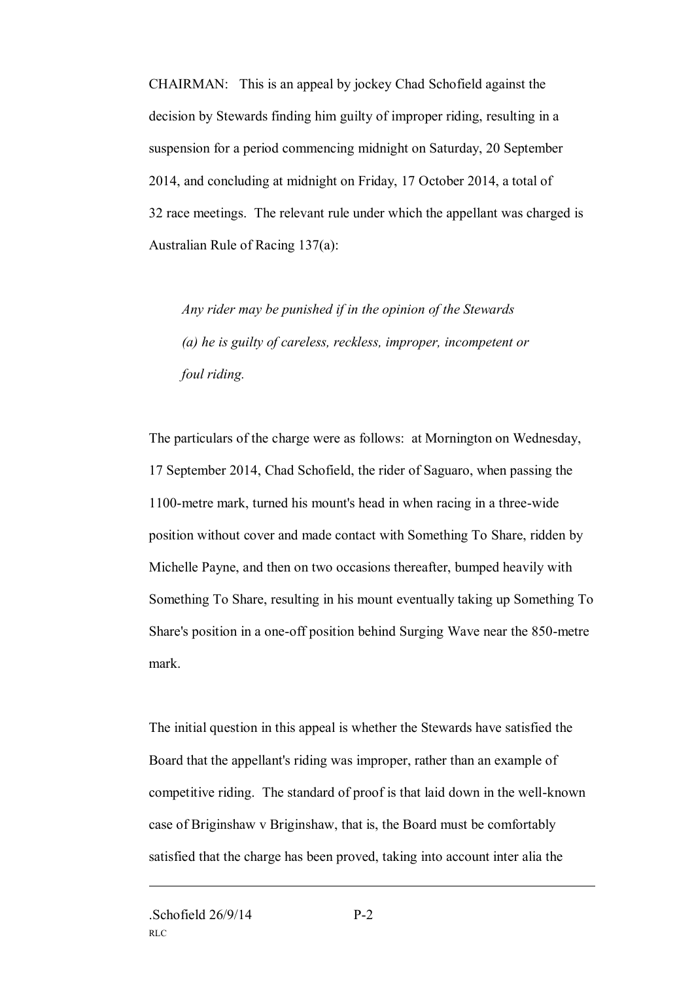CHAIRMAN: This is an appeal by jockey Chad Schofield against the decision by Stewards finding him guilty of improper riding, resulting in a suspension for a period commencing midnight on Saturday, 20 September 2014, and concluding at midnight on Friday, 17 October 2014, a total of 32 race meetings. The relevant rule under which the appellant was charged is Australian Rule of Racing 137(a):

*Any rider may be punished if in the opinion of the Stewards (a) he is guilty of careless, reckless, improper, incompetent or foul riding.*

The particulars of the charge were as follows: at Mornington on Wednesday, 17 September 2014, Chad Schofield, the rider of Saguaro, when passing the 1100-metre mark, turned his mount's head in when racing in a three-wide position without cover and made contact with Something To Share, ridden by Michelle Payne, and then on two occasions thereafter, bumped heavily with Something To Share, resulting in his mount eventually taking up Something To Share's position in a one-off position behind Surging Wave near the 850-metre mark.

The initial question in this appeal is whether the Stewards have satisfied the Board that the appellant's riding was improper, rather than an example of competitive riding. The standard of proof is that laid down in the well-known case of Briginshaw v Briginshaw, that is, the Board must be comfortably satisfied that the charge has been proved, taking into account inter alia the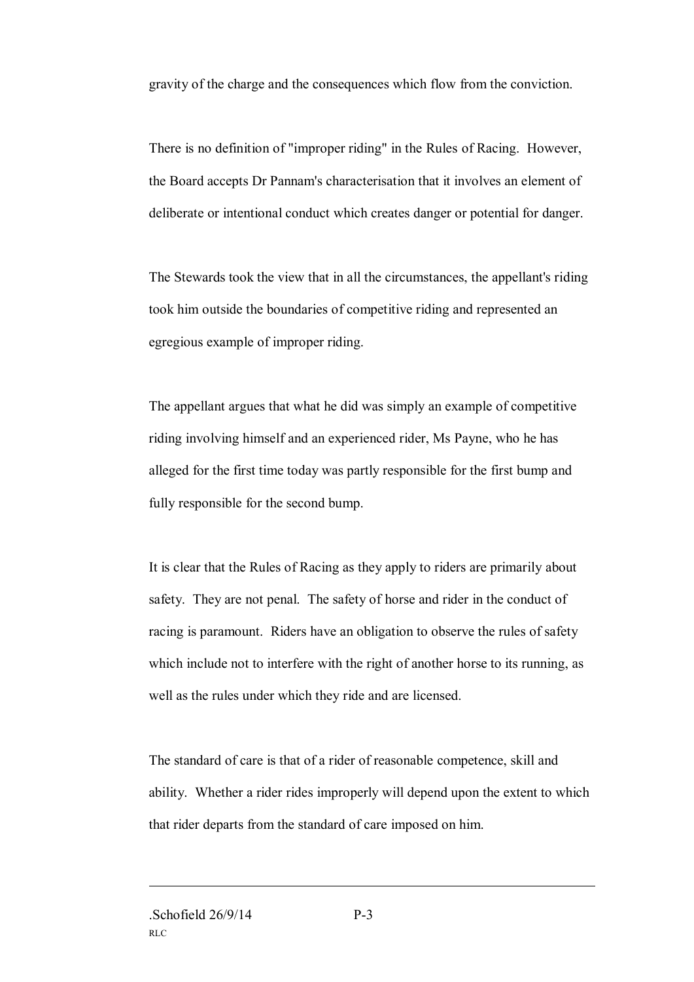gravity of the charge and the consequences which flow from the conviction.

There is no definition of "improper riding" in the Rules of Racing. However, the Board accepts Dr Pannam's characterisation that it involves an element of deliberate or intentional conduct which creates danger or potential for danger.

The Stewards took the view that in all the circumstances, the appellant's riding took him outside the boundaries of competitive riding and represented an egregious example of improper riding.

The appellant argues that what he did was simply an example of competitive riding involving himself and an experienced rider, Ms Payne, who he has alleged for the first time today was partly responsible for the first bump and fully responsible for the second bump.

It is clear that the Rules of Racing as they apply to riders are primarily about safety. They are not penal. The safety of horse and rider in the conduct of racing is paramount. Riders have an obligation to observe the rules of safety which include not to interfere with the right of another horse to its running, as well as the rules under which they ride and are licensed.

The standard of care is that of a rider of reasonable competence, skill and ability. Whether a rider rides improperly will depend upon the extent to which that rider departs from the standard of care imposed on him.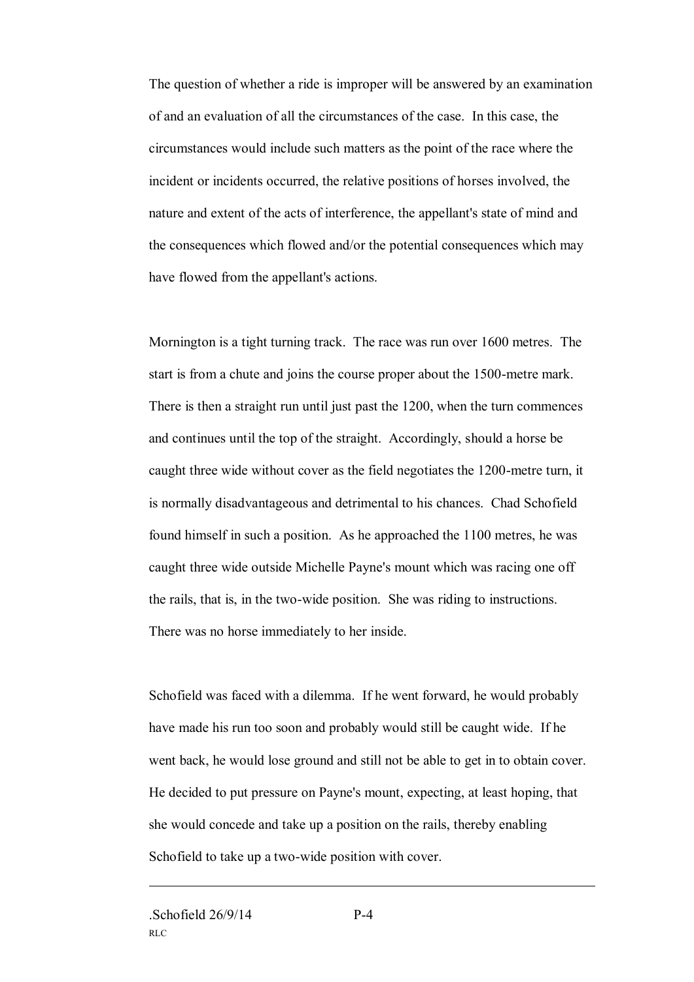The question of whether a ride is improper will be answered by an examination of and an evaluation of all the circumstances of the case. In this case, the circumstances would include such matters as the point of the race where the incident or incidents occurred, the relative positions of horses involved, the nature and extent of the acts of interference, the appellant's state of mind and the consequences which flowed and/or the potential consequences which may have flowed from the appellant's actions.

Mornington is a tight turning track. The race was run over 1600 metres. The start is from a chute and joins the course proper about the 1500-metre mark. There is then a straight run until just past the 1200, when the turn commences and continues until the top of the straight. Accordingly, should a horse be caught three wide without cover as the field negotiates the 1200-metre turn, it is normally disadvantageous and detrimental to his chances. Chad Schofield found himself in such a position. As he approached the 1100 metres, he was caught three wide outside Michelle Payne's mount which was racing one off the rails, that is, in the two-wide position. She was riding to instructions. There was no horse immediately to her inside.

Schofield was faced with a dilemma. If he went forward, he would probably have made his run too soon and probably would still be caught wide. If he went back, he would lose ground and still not be able to get in to obtain cover. He decided to put pressure on Payne's mount, expecting, at least hoping, that she would concede and take up a position on the rails, thereby enabling Schofield to take up a two-wide position with cover.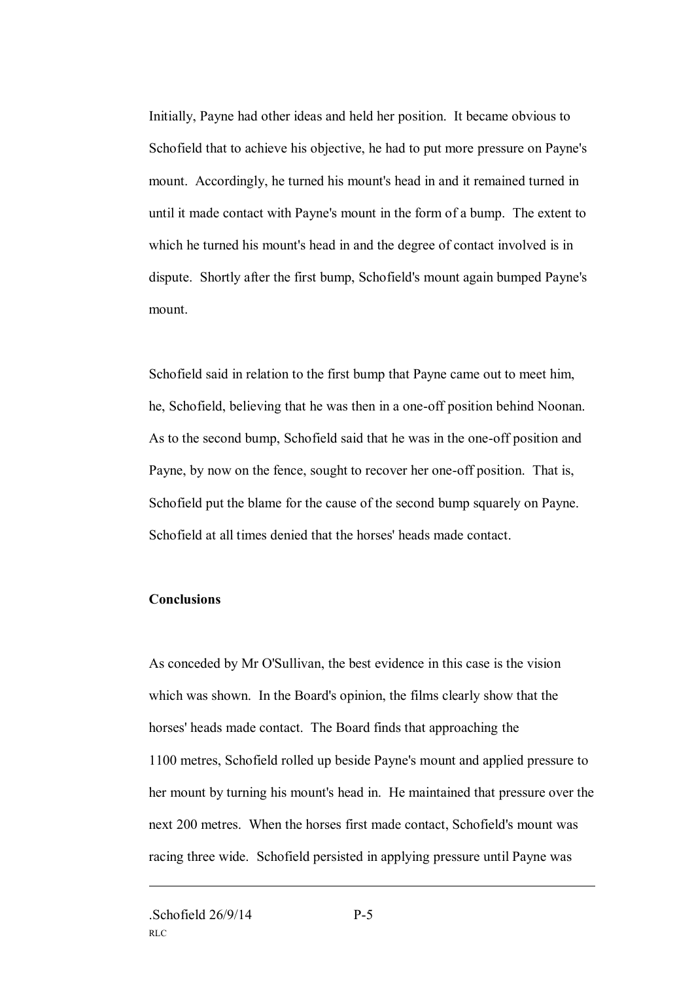Initially, Payne had other ideas and held her position. It became obvious to Schofield that to achieve his objective, he had to put more pressure on Payne's mount. Accordingly, he turned his mount's head in and it remained turned in until it made contact with Payne's mount in the form of a bump. The extent to which he turned his mount's head in and the degree of contact involved is in dispute. Shortly after the first bump, Schofield's mount again bumped Payne's mount.

Schofield said in relation to the first bump that Payne came out to meet him, he, Schofield, believing that he was then in a one-off position behind Noonan. As to the second bump, Schofield said that he was in the one-off position and Payne, by now on the fence, sought to recover her one-off position. That is, Schofield put the blame for the cause of the second bump squarely on Payne. Schofield at all times denied that the horses' heads made contact.

#### **Conclusions**

As conceded by Mr O'Sullivan, the best evidence in this case is the vision which was shown. In the Board's opinion, the films clearly show that the horses' heads made contact. The Board finds that approaching the 1100 metres, Schofield rolled up beside Payne's mount and applied pressure to her mount by turning his mount's head in. He maintained that pressure over the next 200 metres. When the horses first made contact, Schofield's mount was racing three wide. Schofield persisted in applying pressure until Payne was